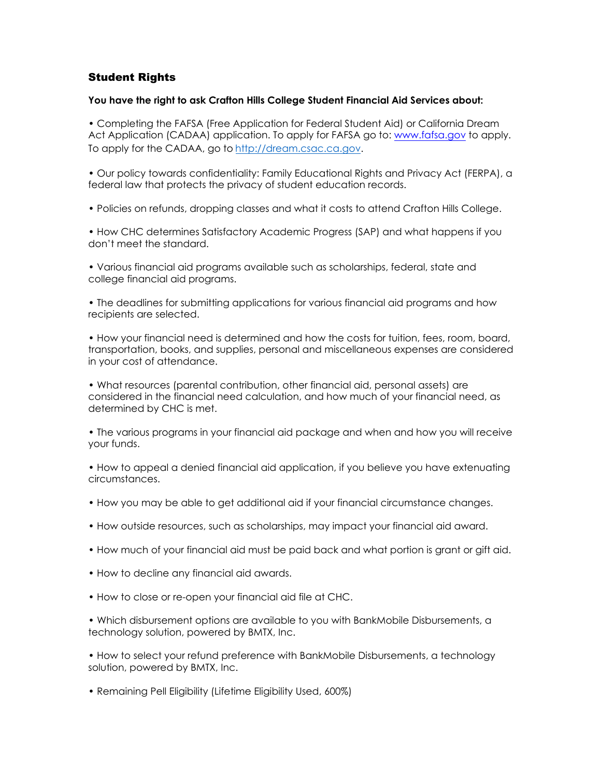# Student Rights

### **You have the right to ask Crafton Hills College Student Financial Aid Services about:**

• Completing the FAFSA (Free Application for Federal Student Aid) or California Dream Act Application (CADAA) application. To apply for FAFSA go to: www.fafsa.gov to apply. To apply for the CADAA, go to [http://dream.csac.ca.gov.](http://dream.csac.ca.gov/)

• Our policy towards confidentiality: Family Educational Rights and Privacy Act (FERPA), a federal law that protects the privacy of student education records.

• Policies on refunds, dropping classes and what it costs to attend Crafton Hills College.

• How CHC determines Satisfactory Academic Progress (SAP) and what happens if you don't meet the standard.

• Various financial aid programs available such as scholarships, federal, state and college financial aid programs.

• The deadlines for submitting applications for various financial aid programs and how recipients are selected.

• How your financial need is determined and how the costs for tuition, fees, room, board, transportation, books, and supplies, personal and miscellaneous expenses are considered in your cost of attendance.

• What resources (parental contribution, other financial aid, personal assets) are considered in the financial need calculation, and how much of your financial need, as determined by CHC is met.

• The various programs in your financial aid package and when and how you will receive your funds.

• How to appeal a denied financial aid application, if you believe you have extenuating circumstances.

- How you may be able to get additional aid if your financial circumstance changes.
- How outside resources, such as scholarships, may impact your financial aid award.
- How much of your financial aid must be paid back and what portion is grant or gift aid.
- How to decline any financial aid awards.
- How to close or re-open your financial aid file at CHC.

• Which disbursement options are available to you with BankMobile Disbursements, a technology solution, powered by BMTX, Inc.

• How to select your refund preference with BankMobile Disbursements, a technology solution, powered by BMTX, Inc.

• Remaining Pell Eligibility (Lifetime Eligibility Used, 600%)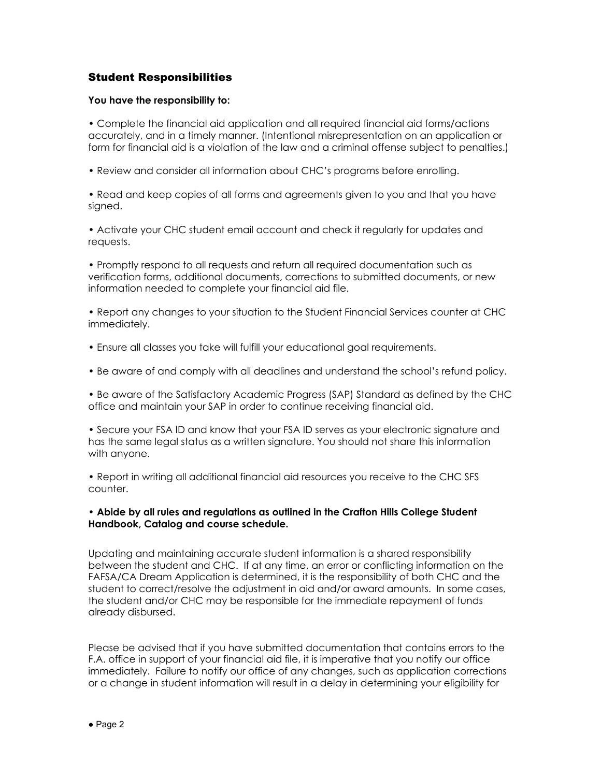## Student Responsibilities

#### **You have the responsibility to:**

• Complete the financial aid application and all required financial aid forms/actions accurately, and in a timely manner. (Intentional misrepresentation on an application or form for financial aid is a violation of the law and a criminal offense subject to penalties.)

• Review and consider all information about CHC's programs before enrolling.

• Read and keep copies of all forms and agreements given to you and that you have signed.

• Activate your CHC student email account and check it regularly for updates and requests.

• Promptly respond to all requests and return all required documentation such as verification forms, additional documents, corrections to submitted documents, or new information needed to complete your financial aid file.

• Report any changes to your situation to the Student Financial Services counter at CHC immediately.

- Ensure all classes you take will fulfill your educational goal requirements.
- Be aware of and comply with all deadlines and understand the school's refund policy.

• Be aware of the Satisfactory Academic Progress (SAP) Standard as defined by the CHC office and maintain your SAP in order to continue receiving financial aid.

• Secure your FSA ID and know that your FSA ID serves as your electronic signature and has the same legal status as a written signature. You should not share this information with anyone.

• Report in writing all additional financial aid resources you receive to the CHC SFS counter.

### **• Abide by all rules and regulations as outlined in the Crafton Hills College Student Handbook, Catalog and course schedule.**

Updating and maintaining accurate student information is a shared responsibility between the student and CHC. If at any time, an error or conflicting information on the FAFSA/CA Dream Application is determined, it is the responsibility of both CHC and the student to correct/resolve the adjustment in aid and/or award amounts. In some cases, the student and/or CHC may be responsible for the immediate repayment of funds already disbursed.

Please be advised that if you have submitted documentation that contains errors to the F.A. office in support of your financial aid file, it is imperative that you notify our office immediately. Failure to notify our office of any changes, such as application corrections or a change in student information will result in a delay in determining your eligibility for